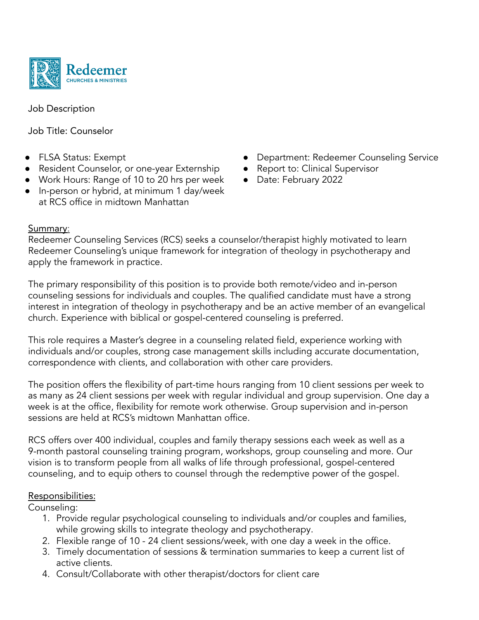

Job Description

Job Title: Counselor

- FLSA Status: Exempt
- Resident Counselor, or one-year Externship
- Work Hours: Range of 10 to 20 hrs per week
- In-person or hybrid, at minimum 1 day/week at RCS office in midtown Manhattan
- **Department: Redeemer Counseling Service**
- Report to: Clinical Supervisor
- Date: February 2022

## Summary:

Redeemer Counseling Services (RCS) seeks a counselor/therapist highly motivated to learn Redeemer Counseling's unique framework for integration of theology in psychotherapy and apply the framework in practice.

The primary responsibility of this position is to provide both remote/video and in-person counseling sessions for individuals and couples. The qualified candidate must have a strong interest in integration of theology in psychotherapy and be an active member of an evangelical church. Experience with biblical or gospel-centered counseling is preferred.

This role requires a Master's degree in a counseling related field, experience working with individuals and/or couples, strong case management skills including accurate documentation, correspondence with clients, and collaboration with other care providers.

The position offers the flexibility of part-time hours ranging from 10 client sessions per week to as many as 24 client sessions per week with regular individual and group supervision. One day a week is at the office, flexibility for remote work otherwise. Group supervision and in-person sessions are held at RCS's midtown Manhattan office.

RCS offers over 400 individual, couples and family therapy sessions each week as well as a 9-month pastoral counseling training program, workshops, group counseling and more. Our vision is to transform people from all walks of life through professional, gospel-centered counseling, and to equip others to counsel through the redemptive power of the gospel.

## Responsibilities:

Counseling:

- 1. Provide regular psychological counseling to individuals and/or couples and families, while growing skills to integrate theology and psychotherapy.
- 2. Flexible range of 10 24 client sessions/week, with one day a week in the office.
- 3. Timely documentation of sessions & termination summaries to keep a current list of active clients.
- 4. Consult/Collaborate with other therapist/doctors for client care